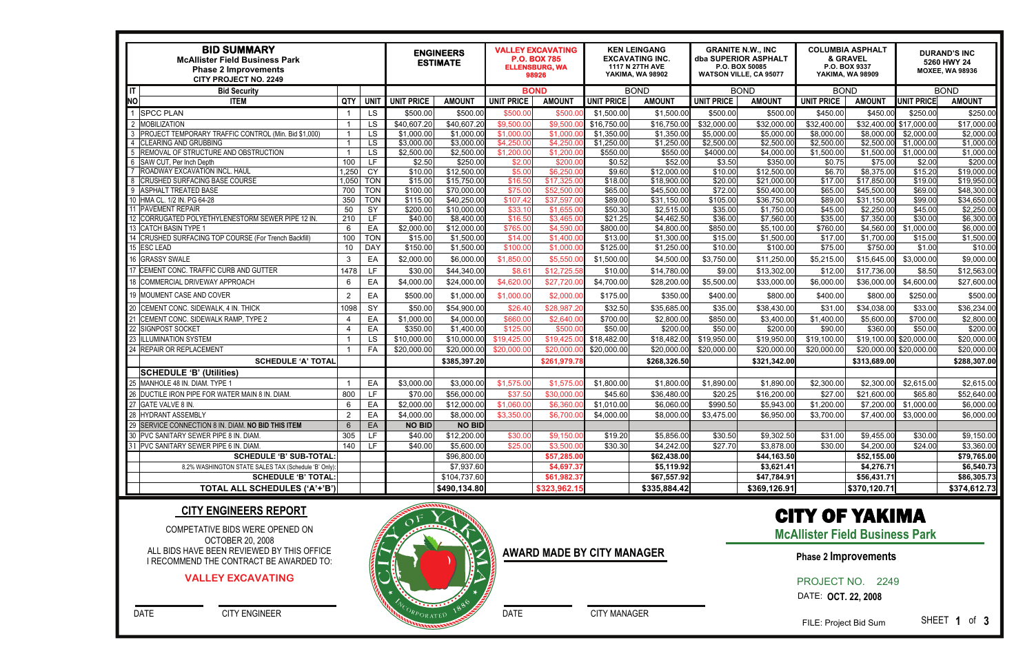|           | <b>BID SUMMARY</b><br><b>McAllister Field Business Park</b><br><b>Phase 2 Improvements</b><br><b>CITY PROJECT NO. 2249</b> | <b>ENGINEERS</b><br><b>ESTIMATE</b> |                          | <b>VALLEY EXCAVATING</b><br><b>P.O. BOX 785</b><br><b>ELLENSBURG, WA</b><br>98926 |                            | <b>KEN LEINGANG</b><br><b>EXCAVATING INC.</b><br>1117 N 27TH AVE<br><b>YAKIMA, WA 98902</b> |                          | <b>GRANITE N.W., INC</b><br>dba SUPERIOR ASPHALT<br>P.O. BOX 50085<br><b>WATSON VILLE, CA 95077</b> |                            | <b>COLUMBIA ASPHALT</b><br>& GRAVEL<br>P.O. BOX 9337<br><b>YAKIMA, WA 98909</b> |                            | <b>DURAND'S INC</b><br>5260 HWY 24<br><b>MOXEE, WA 98936</b> |                            |                         |                            |
|-----------|----------------------------------------------------------------------------------------------------------------------------|-------------------------------------|--------------------------|-----------------------------------------------------------------------------------|----------------------------|---------------------------------------------------------------------------------------------|--------------------------|-----------------------------------------------------------------------------------------------------|----------------------------|---------------------------------------------------------------------------------|----------------------------|--------------------------------------------------------------|----------------------------|-------------------------|----------------------------|
| IΙT       | <b>Bid Security</b>                                                                                                        |                                     |                          |                                                                                   |                            |                                                                                             | <b>BOND</b>              |                                                                                                     | <b>BOND</b>                |                                                                                 | <b>BOND</b>                | <b>BOND</b>                                                  |                            |                         | <b>BOND</b>                |
| <b>NO</b> | <b>ITEM</b>                                                                                                                | QTY                                 | <b>UNIT</b>              | <b>UNIT PRICE</b>                                                                 | <b>AMOUNT</b>              | <b>UNIT PRICE</b>                                                                           | <b>AMOUNT</b>            | <b>UNIT PRICE</b>                                                                                   | <b>AMOUNT</b>              | <b>UNIT PRICE</b>                                                               | <b>AMOUNT</b>              | <b>UNIT PRICE</b>                                            | <b>AMOUNT</b>              | <b>UNIT PRICE</b>       | <b>AMOUNT</b>              |
|           | <b>SPCC PLAN</b>                                                                                                           |                                     | LS.                      | \$500.00                                                                          | \$500.00                   | \$500.00                                                                                    | \$500.0                  | \$1,500.00                                                                                          | \$1,500.00                 | \$500.00                                                                        | \$500.00                   | \$450.00                                                     | \$450.00                   | \$250.00                | \$250.00                   |
|           | <b>MOBILIZATION</b>                                                                                                        |                                     | LS                       | \$40,607.20                                                                       | \$40,607.20                | \$9,500.00                                                                                  | \$9,500.0                | \$16,750.00                                                                                         | \$16,750.00                | \$32,000.00                                                                     | \$32,000.0                 | \$32,400.00                                                  |                            | \$32,400.00 \$17,000.00 | \$17,000.00                |
|           | PROJECT TEMPORARY TRAFFIC CONTROL (Min. Bid \$1,000)                                                                       |                                     | LS                       | \$1,000.00                                                                        | \$1,000.00                 | \$1,000.00                                                                                  | \$1,000.0                | \$1,350.00                                                                                          | \$1,350.00                 | \$5,000.00                                                                      | \$5,000.00                 | \$8,000.00                                                   | \$8,000.00                 | \$2,000.00              | \$2,000.00                 |
|           | <b>CLEARING AND GRUBBING</b>                                                                                               |                                     | LS                       | \$3,000.00                                                                        | \$3,000.00                 | \$4,250.0                                                                                   | \$4,250.0                | \$1,250.00                                                                                          | \$1,250.00                 | \$2,500.00                                                                      | \$2,500.0                  | \$2,500.00                                                   | \$2,500.00                 | \$1,000.00              | \$1,000.00                 |
|           | REMOVAL OF STRUCTURE AND OBSTRUCTION                                                                                       |                                     | LS                       | \$2,500.00                                                                        | \$2,500.00                 | \$1,200.00                                                                                  | \$1,200.0                | \$550.00                                                                                            | \$550.00                   | \$4000.00                                                                       | \$4,000.0                  | $\sqrt{$1,500.00}$                                           | \$1,500.00                 | \$1,000.00              | \$1,000.00                 |
|           | SAW CUT, Per Inch Depth                                                                                                    | 100                                 | LF.                      | \$2.50                                                                            | \$250.00                   | \$2.00                                                                                      | \$200.0                  | \$0.52                                                                                              | \$52.00                    | \$3.50                                                                          | \$350.00                   | \$0.75                                                       | \$75.00                    | \$2.00                  | \$200.00                   |
|           | ROADWAY EXCAVATION INCL. HAUL                                                                                              | 1,250                               | CY                       | \$10.00                                                                           | \$12,500.00                | \$5.00                                                                                      | \$6,250.0                | \$9.60                                                                                              | \$12,000.00                | \$10.00                                                                         | \$12,500.00                | \$6.70                                                       | \$8,375.00                 | \$15.20                 | \$19,000.00                |
|           | <b>CRUSHED SURFACING BASE COURSE</b><br><b>ASPHALT TREATED BASE</b>                                                        | 1,050<br>700                        | <b>TON</b><br><b>TON</b> | \$15.00<br>\$100.00                                                               | \$15,750.00<br>\$70,000.00 | \$16.50<br>\$75.0                                                                           | \$17,325.0<br>\$52,500.0 | \$18.00<br>\$65.00                                                                                  | \$18,900.00<br>\$45,500.00 | \$20.00<br>\$72.00                                                              | \$21,000.00<br>\$50,400.00 | \$17.00<br>\$65.00                                           | \$17,850.00<br>\$45,500.00 | \$19.00<br>\$69.00      | \$19,950.00<br>\$48,300.00 |
|           | HMA CL. 1/2 IN. PG 64-28                                                                                                   | 350                                 | <b>TON</b>               | \$115.00                                                                          | \$40,250.00                | \$107.42                                                                                    | \$37,597.0               | \$89.00                                                                                             | \$31,150.00                | \$105.00                                                                        | \$36,750.00                | \$89.00                                                      | \$31,150.00                | \$99.00                 | \$34,650.0                 |
|           | <b>PAVEMENT REPAIR</b>                                                                                                     | 50                                  | SY                       | \$200.00                                                                          | \$10,000.00                | \$33.10                                                                                     | \$1,655.0                | \$50.30                                                                                             | \$2,515.00                 | \$35.00                                                                         | \$1,750.00                 | \$45.00                                                      | \$2,250.00                 | \$45.00                 | \$2,250.00                 |
|           | CORRUGATED POLYETHYLENESTORM SEWER PIPE 12 IN                                                                              | 210                                 | <b>LF</b>                | \$40.00                                                                           | \$8,400.00                 | \$16.50                                                                                     | \$3,465.0                | \$21.25                                                                                             | \$4,462.50                 | \$36.00                                                                         | \$7,560.00                 | \$35.00                                                      | \$7,350.00                 | \$30.00                 | \$6,300.0                  |
| 13        | <b>CATCH BASIN TYPE 1</b>                                                                                                  | 6                                   | EA                       | \$2,000.00                                                                        | \$12,000.00                | \$765.00                                                                                    | \$4,590.0                | \$800.00                                                                                            | \$4,800.00                 | \$850.00                                                                        | \$5,100.00                 | \$760.00                                                     | \$4,560.00                 | \$1,000.00              | \$6,000.0                  |
|           | CRUSHED SURFACING TOP COURSE (For Trench Backfill)                                                                         | 100                                 | <b>TON</b>               | \$15.00                                                                           | \$1,500.00                 | \$14.00                                                                                     | \$1,400.0                | \$13.00                                                                                             | \$1,300.00                 | \$15.00                                                                         | \$1,500.00                 | \$17.00                                                      | \$1,700.00                 | \$15.00                 | \$1,500.0                  |
|           | 15 ESC LEAD                                                                                                                | 10                                  | <b>DAY</b>               | \$150.00                                                                          | \$1,500.00                 | \$100.00                                                                                    | \$1,000.0                | \$125.00                                                                                            | \$1,250.00                 | \$10.00                                                                         | \$100.00                   | \$75.00                                                      | \$750.00                   | \$1.00                  | \$10.00                    |
| 16        | <b>GRASSY SWALE</b>                                                                                                        | $\mathbf{3}$                        | EA                       | \$2,000.00                                                                        | \$6,000.00                 | \$1,850.00                                                                                  | \$5,550.0                | \$1,500.00                                                                                          | \$4,500.00                 | \$3,750.00                                                                      | \$11,250.00                | \$5,215.00                                                   | \$15,645.00                | \$3,000.00              | \$9,000.00                 |
|           | CEMENT CONC. TRAFFIC CURB AND GUTTER                                                                                       | 1478                                | LF.                      | \$30.00                                                                           | \$44,340.00                | \$8.6'                                                                                      | \$12,725.58              | \$10.00                                                                                             | \$14,780.00                | \$9.00                                                                          | \$13,302.00                | \$12.00                                                      | \$17,736.00                | \$8.50                  | \$12,563.00                |
|           | COMMERCIAL DRIVEWAY APPROACH                                                                                               | 6                                   | EA                       | \$4,000.00                                                                        | \$24,000.00                | \$4,620.00                                                                                  | \$27,720.0               | \$4,700.00                                                                                          | \$28,200.0                 | \$5,500.00                                                                      | \$33,000.0                 | \$6,000.00                                                   | \$36,000.00                | \$4,600.00              | \$27,600.0                 |
| 19        | <b>IMOUMENT CASE AND COVER</b>                                                                                             | $\overline{2}$                      | EA                       | \$500.00                                                                          | \$1,000.00                 | \$1,000.00                                                                                  | \$2,000.00               | \$175.00                                                                                            | \$350.00                   | \$400.00                                                                        | \$800.00                   | \$400.00                                                     | \$800.00                   | \$250.00                | \$500.00                   |
|           | CEMENT CONC. SIDEWALK, 4 IN. THICK                                                                                         | 1098                                | SY                       | \$50.00                                                                           | \$54,900.00                | \$26.40                                                                                     | \$28,987.2               | \$32.50                                                                                             | \$35,685.00                | \$35.00                                                                         | \$38,430.00                | \$31.00                                                      | \$34,038.00                | \$33.00                 | \$36,234.00                |
|           | CEMENT CONC. SIDEWALK RAMP, TYPE 2                                                                                         | $\overline{4}$                      | EA                       | \$1,000.00                                                                        | \$4,000.00                 | \$660.00                                                                                    | \$2,640.00               | \$700.00                                                                                            | \$2,800.00                 | \$850.00                                                                        | \$3,400.0                  | \$1,400.00                                                   | \$5,600.00                 | \$700.00                | \$2,800.00                 |
| 22        | SIGNPOST SOCKET                                                                                                            | -4                                  | EA                       | \$350.00                                                                          | \$1,400.00                 | \$125.00                                                                                    | \$500.00                 | \$50.00                                                                                             | \$200.00                   | \$50.00                                                                         | \$200.0                    | \$90.00                                                      | \$360.00                   | \$50.00                 | \$200.00                   |
| l 23      | <b>ILLUMINATION SYSTEM</b>                                                                                                 |                                     | LS                       | \$10,000.00                                                                       | \$10,000.00                | \$19,425.00                                                                                 | \$19,425.0               | \$18,482.00                                                                                         | \$18,482.00                | \$19,950.00                                                                     | \$19,950.0                 | \$19,100.00                                                  | \$19,100.00 \$20,000.00    |                         | \$20,000.00                |
| 24        | <b>REPAIR OR REPLACEMENT</b>                                                                                               |                                     | FA                       | \$20,000.00                                                                       | \$20,000.00                | \$20,000.00                                                                                 | \$20,000.0               | \$20,000.00                                                                                         | \$20,000.0                 | \$20,000.00                                                                     | \$20,000.0                 | \$20,000.00                                                  | \$20,000.00 \$20,000.00    |                         | \$20,000.00                |
|           | <b>SCHEDULE 'A' TOTAL</b>                                                                                                  |                                     |                          |                                                                                   | \$385,397.20               |                                                                                             | \$261,979.78             |                                                                                                     | \$268,326.50               |                                                                                 | \$321,342.00               |                                                              | \$313,689.00               |                         | \$288,307.00               |
|           | <b>SCHEDULE 'B' (Utilities)</b>                                                                                            |                                     |                          |                                                                                   |                            |                                                                                             |                          |                                                                                                     |                            |                                                                                 |                            |                                                              |                            |                         |                            |
|           | MANHOLE 48 IN. DIAM. TYPE                                                                                                  |                                     | EA                       | \$3,000.00                                                                        | \$3,000.00                 | \$1,575.00                                                                                  | \$1,575.0                | \$1,800.00                                                                                          | \$1,800.00                 | \$1,890.00                                                                      | \$1,890.0                  | \$2,300.00                                                   | \$2,300.00                 | \$2,615.00              | \$2,615.00                 |
| 26        | DUCTILE IRON PIPE FOR WATER MAIN 8 IN. DIAM                                                                                | 800                                 | LF                       | \$70.00                                                                           | \$56,000.00                | \$37.50                                                                                     | \$30,000.0               | \$45.60                                                                                             | \$36,480.00                | \$20.25                                                                         | \$16,200.00                | \$27.00                                                      | \$21,600.00                | \$65.80                 | \$52,640.00                |
| <b>27</b> | GATE VALVE 8 IN.                                                                                                           | 6                                   | EA                       | \$2,000.00                                                                        | \$12,000.00                | \$1,060.00                                                                                  | \$6,360.0                | \$1,010.00                                                                                          | \$6,060.00                 | \$990.50                                                                        | \$5,943.00                 | \$1,200.00                                                   | \$7,200.00                 | \$1,000.00              | \$6,000.00                 |
|           | 28 HYDRANT ASSEMBLY                                                                                                        | $\overline{2}$                      | EA                       | \$4,000.00                                                                        | \$8,000.00                 | \$3,350.00                                                                                  | \$6,700.00               | \$4,000.00                                                                                          | \$8,000.00                 | \$3,475.00                                                                      | \$6,950.00                 | \$3,700.00                                                   |                            | \$7,400.00 \$3,000.00   | \$6,000.00                 |
|           | 29 SERVICE CONNECTION 8 IN. DIAM. NO BID THIS ITEM                                                                         | 6                                   | EA                       | <b>NO BID</b>                                                                     | <b>NO BID</b>              |                                                                                             |                          |                                                                                                     |                            |                                                                                 |                            |                                                              |                            |                         |                            |
|           | 30 PVC SANITARY SEWER PIPE 8 IN. DIAM.                                                                                     | 305                                 | LF.                      | \$40.00                                                                           | \$12,200.00                | \$30.00                                                                                     | \$9,150.00               | \$19.20                                                                                             | \$5,856.00                 | \$30.50                                                                         | \$9,302.50                 | \$31.00                                                      | \$9,455.00                 | \$30.00                 | \$9,150.00                 |
|           | 31 PVC SANITARY SEWER PIPE 6 IN. DIAM.                                                                                     | 140                                 | LF.                      | \$40.00                                                                           | \$5,600.00                 | \$25.00                                                                                     | \$3,500.00               | \$30.30                                                                                             | \$4,242.00                 | \$27.70                                                                         | \$3,878.00                 | \$30.00                                                      | \$4,200.00                 | \$24.00                 | \$3,360.00                 |
|           | <b>SCHEDULE 'B' SUB-TOTAL:</b>                                                                                             |                                     |                          |                                                                                   | \$96,800.00                |                                                                                             | \$57,285.00              |                                                                                                     | \$62,438.00                |                                                                                 | \$44,163.50                |                                                              | \$52,155.00                |                         | \$79,765.00                |
|           | 8.2% WASHINGTON STATE SALES TAX (Schedule 'B' Only):                                                                       |                                     |                          |                                                                                   | \$7,937.60                 |                                                                                             | \$4,697.37               |                                                                                                     | \$5,119.92                 |                                                                                 | \$3,621.41                 |                                                              | \$4,276.71                 |                         | \$6,540.73                 |
|           | <b>SCHEDULE 'B' TOTAL:</b>                                                                                                 |                                     |                          |                                                                                   | \$104,737.60               |                                                                                             | \$61,982.37              |                                                                                                     | \$67,557.92                |                                                                                 | \$47,784.91                |                                                              | \$56,431.71                |                         | \$86,305.73                |
|           | TOTAL ALL SCHEDULES ('A'+'B')                                                                                              |                                     |                          |                                                                                   | \$490,134.80               |                                                                                             | \$323,962.15             |                                                                                                     | \$335,884.42               |                                                                                 | \$369,126.91               |                                                              | \$370,120.71               |                         | \$374,612.73               |

COMPETATIVE BIDS WERE OPENED ON OCTOBER 20, 2008 ALL BIDS HAVE BEEN REVIEWED BY THIS OFFICE I RECOMMEND THE CONTRACT BE AWARDED TO:

#### **CITY ENGINEERS REPORT**

#### **AWARD MADE BY CITY MANAGER**

DATE CITY MANAGER

DATE CITY ENGINEER

# CITY OF YAKIMA **McAllister Field Business Park**

PROJECT NO. 2249 DATE: **OCT. 22, 2008** 

FILE: Project Bid Sum

SHEET **1** of **3** 

#### **VALLEY EXCAVATING**



### **Phase 2 Improvements**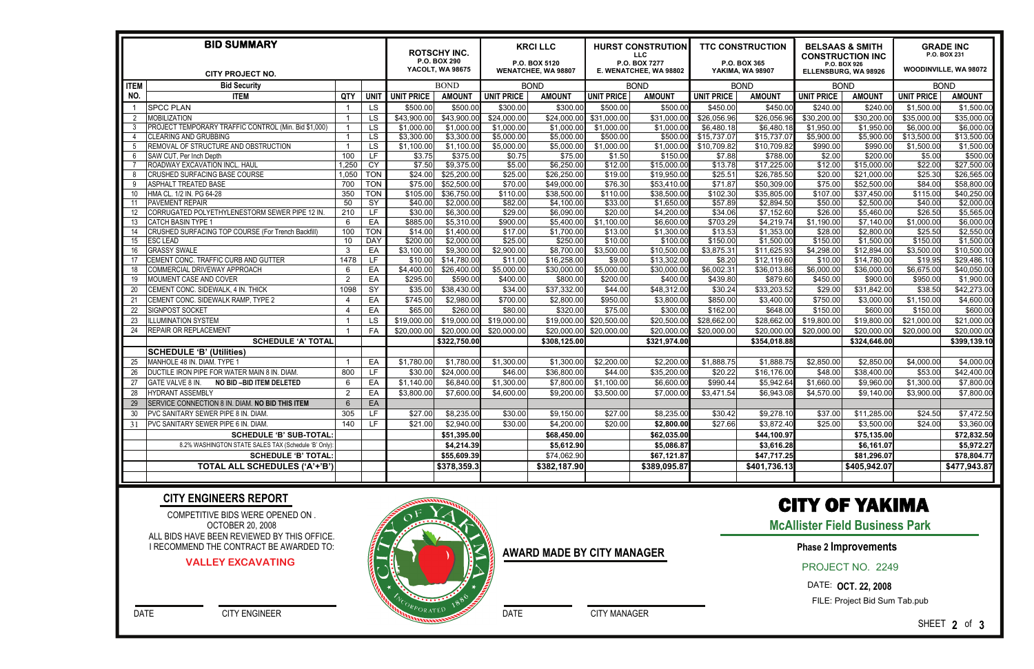|             | <b>BID SUMMARY</b><br><b>CITY PROJECT NO.</b>                                 | <b>ROTSCHY INC.</b><br><b>P.O. BOX 290</b><br>YACOLT, WA 98675 |            | <b>KRCI LLC</b><br>P.O. BOX 5120<br><b>WENATCHEE, WA 98807</b> |                          | <b>HURST CONSTRUTION</b><br><b>LLC</b><br>P.O. BOX 7277<br>E. WENATCHEE, WA 98802 |                          | <b>TTC CONSTRUCTION</b><br>P.O. BOX 365<br><b>YAKIMA, WA 98907</b> |                          | <b>BELSAAS &amp; SMITH</b><br><b>CONSTRUCTION INC</b><br>P.O. BOX 926<br>ELLENSBURG, WA 98926 |                          | <b>GRADE INC</b><br>P.O. BOX 231<br><b>WOODINVILLE, WA 98072</b> |                          |                       |                          |
|-------------|-------------------------------------------------------------------------------|----------------------------------------------------------------|------------|----------------------------------------------------------------|--------------------------|-----------------------------------------------------------------------------------|--------------------------|--------------------------------------------------------------------|--------------------------|-----------------------------------------------------------------------------------------------|--------------------------|------------------------------------------------------------------|--------------------------|-----------------------|--------------------------|
| <b>ITEM</b> | <b>Bid Security</b>                                                           |                                                                |            | <b>BOND</b>                                                    |                          | <b>BOND</b>                                                                       |                          | <b>BOND</b>                                                        |                          | <b>BOND</b>                                                                                   |                          | <b>BOND</b>                                                      |                          | <b>BOND</b>           |                          |
| NO.         | <b>ITEM</b>                                                                   | <b>QTY</b>                                                     |            | UNIT UNIT PRICE                                                | <b>AMOUNT</b>            | <b>UNIT PRICE</b>                                                                 | <b>AMOUNT</b>            | <b>UNIT PRICE</b>                                                  | <b>AMOUNT</b>            | <b>UNIT PRICE</b>                                                                             | <b>AMOUNT</b>            | <b>UNIT PRICE</b>                                                | <b>AMOUNT</b>            | <b>UNIT PRICE</b>     | <b>AMOUNT</b>            |
|             | <b>SPCC PLAN</b>                                                              |                                                                | LS.        | \$500.00                                                       | \$500.0                  | \$300.00                                                                          | \$300.0                  | \$500.00                                                           | \$500.0                  | \$450.00                                                                                      | \$450.0                  | \$240.00                                                         | \$240.00                 | \$1,500.00            | \$1,500.00               |
| -2          | <b>MOBILIZATION</b>                                                           |                                                                | LS         | \$43,900.00                                                    | \$43,900.0               | \$24,000.00                                                                       | \$24,000.0               | \$31,000.00                                                        | \$31,000.0               | \$26,056.96                                                                                   | \$26,056.9               | \$30,200.00                                                      | \$30,200.00              | \$35,000.00           | \$35,000.00              |
| -3          | PROJECT TEMPORARY TRAFFIC CONTROL (Min. Bid \$1,000)                          |                                                                | LS         | \$1,000.00                                                     | \$1,000.0                | \$1,000.00                                                                        | \$1,000.00               | \$1,000.00                                                         | \$1,000.0                | \$6,480.18                                                                                    | \$6,480.1                | \$1,950.00                                                       | \$1,950.00               | \$6,000.00            | \$6,000.00               |
|             | CLEARING AND GRUBBING                                                         |                                                                | LS         | \$3,300.00                                                     | \$3,300.0                | \$5,000.00                                                                        | \$5,000.0                | \$500.00                                                           | \$500.0                  | \$15,737.07                                                                                   | \$15,737.0               | \$5,900.00                                                       | \$5,900.00               | \$13,500.00           | \$13,500.00              |
| -5          | REMOVAL OF STRUCTURE AND OBSTRUCTION                                          |                                                                | LS.        | \$1,100.00                                                     | \$1,100.00               | \$5,000.00                                                                        | \$5,000.00               | \$1,000.00                                                         | \$1,000.0                | \$10,709.82                                                                                   | \$10,709.82              | \$990.00                                                         | \$990.00                 | \$1,500.00            | \$1,500.00               |
| -6          | SAW CUT, Per Inch Depth                                                       | 100                                                            | LF.        | \$3.75                                                         | \$375.00                 | \$0.75                                                                            | \$75.00                  | \$1.50                                                             | \$150.0                  | \$7.88                                                                                        | \$788.00                 | \$2.00                                                           | \$200.00                 | \$5.00                | \$500.00                 |
|             | ROADWAY EXCAVATION INCL. HAUL                                                 | 1,250                                                          | CY         | \$7.50                                                         | \$9,375.00               | \$5.00                                                                            | \$6,250.00               | \$12.00                                                            | \$15,000.0               | \$13.78                                                                                       | \$17,225.00              | \$12.00                                                          | \$15,000.00              | \$22.00               | \$27,500.00              |
| -8          | CRUSHED SURFACING BASE COURSE                                                 | 1,050                                                          | <b>TON</b> | \$24.00                                                        | \$25,200.00              | \$25.00                                                                           | \$26,250.00              | \$19.00                                                            | \$19,950.0               | \$25.51                                                                                       | \$26,785.50              | \$20.00                                                          | \$21,000.00              | \$25.30               | \$26,565.00              |
| -9          | <b>ASPHALT TREATED BASE</b>                                                   | 700                                                            | <b>TON</b> | \$75.00                                                        | \$52,500.00              | \$70.00                                                                           | \$49,000.00              | \$76.30                                                            | \$53,410.00              | \$71.87                                                                                       | \$50,309.00              | \$75.00                                                          | \$52,500.00              | \$84.00               | \$58,800.00              |
| 10          | HMA CL. 1/2 IN. PG 64-28                                                      | 350                                                            | <b>TON</b> | \$105.00                                                       | \$36,750.00              | \$110.00                                                                          | \$38,500.00              | \$110.00                                                           | \$38,500.00              | \$102.30                                                                                      | \$35,805.00              | \$107.00                                                         | \$37,450.00              | \$115.00              | \$40,250.00              |
| -11         | <b>PAVEMENT REPAIR</b>                                                        | 50                                                             | SY         | \$40.00                                                        | \$2,000.00               | \$82.00                                                                           | \$4,100.00               | \$33.00                                                            | \$1,650.0                | \$57.89                                                                                       | \$2,894.50               | \$50.00                                                          | \$2,500.00               | \$40.00               | \$2,000.00               |
| 12          | CORRUGATED POLYETHYLENESTORM SEWER PIPE 12 IN<br>CATCH BASIN TYPE $^{\prime}$ | 210<br>6                                                       | LF.<br>EA  | \$30.00<br>\$885.00                                            | \$6,300.00<br>\$5,310.00 | \$29.00<br>\$900.00                                                               | \$6,090.00<br>\$5,400.00 | \$20.00<br>\$1,100.00                                              | \$4,200.00<br>\$6,600.00 | \$34.06<br>\$703.29                                                                           | \$7,152.60<br>\$4,219.74 | \$26.00<br>\$1,190.00                                            | \$5,460.00<br>\$7,140.00 | \$26.50<br>\$1,000.00 | \$5,565.00<br>\$6,000.00 |
| 13<br>14    | CRUSHED SURFACING TOP COURSE (For Trench Backfill                             | 100                                                            | <b>TON</b> | \$14.00                                                        | \$1,400.00               | \$17.00                                                                           | \$1,700.00               | \$13.00                                                            | \$1,300.00               | \$13.53                                                                                       | \$1,353.00               | \$28.00                                                          | \$2,800.00               | \$25.50               | \$2,550.00               |
| 15          | ESC LEAD                                                                      | 10                                                             | <b>DAY</b> | \$200.00                                                       | \$2,000.00               | \$25.00                                                                           | \$250.00                 | \$10.00                                                            | \$100.00                 | \$150.00                                                                                      | \$1,500.00               | \$150.00                                                         | \$1,500.00               | \$150.00              | \$1,500.00               |
| 16          | <b>GRASSY SWALE</b>                                                           | 3                                                              | EA         | \$3,100.00                                                     | \$9,300.00               | \$2,900.00                                                                        | \$8,700.00               | \$3,500.00                                                         | \$10,500.0               | \$3,875.31                                                                                    | \$11,625.9               | \$4,298.00                                                       | \$12,894.00              | \$3,500.00            | \$10,500.00              |
| 17          | CEMENT CONC. TRAFFIC CURB AND GUTTER                                          | 1478                                                           | LF.        | \$10.00                                                        | \$14,780.00              | \$11.00                                                                           | \$16,258.00              | \$9.00                                                             | \$13,302.00              | \$8.20                                                                                        | \$12,119.60              | \$10.00                                                          | \$14,780.00              | \$19.95               | \$29,486.10              |
| 18          | COMMERCIAL DRIVEWAY APPROACH                                                  | 6                                                              | EA         | \$4,400.00                                                     | \$26,400.00              | \$5,000.00                                                                        | \$30,000.0               | \$5,000.00                                                         | \$30,000.0               | \$6,002.31                                                                                    | \$36,013.86              | \$6,000.00                                                       | \$36,000.00              | \$6,675.00            | \$40,050.00              |
| 19          | MOUMENT CASE AND COVER                                                        | $\overline{2}$                                                 | EA         | \$295.00                                                       | \$590.00                 | \$400.00                                                                          | \$800.00                 | \$200.00                                                           | \$400.00                 | \$439.80                                                                                      | \$879.60                 | \$450.00                                                         | \$900.00                 | \$950.00              | \$1,900.00               |
| 20          | CEMENT CONC. SIDEWALK, 4 IN. THICK                                            | 1098                                                           | SY         | \$35.00                                                        | \$38,430.00              | \$34.00                                                                           | \$37,332.00              | \$44.00                                                            | \$48,312.0               | \$30.24                                                                                       | \$33,203.52              | \$29.00                                                          | \$31,842.00              | \$38.50               | \$42,273.00              |
| 21          | CEMENT CONC. SIDEWALK RAMP, TYPE 2                                            | $\boldsymbol{\Delta}$                                          | EA         | \$745.00                                                       | \$2,980.00               | \$700.00                                                                          | \$2,800.00               | \$950.00                                                           | \$3,800.00               | \$850.00                                                                                      | \$3,400.00               | \$750.00                                                         | \$3,000.00               | \$1,150.00            | \$4,600.00               |
| 22          | SIGNPOST SOCKET                                                               | 4                                                              | EA         | \$65.00                                                        | \$260.00                 | \$80.00                                                                           | \$320.00                 | \$75.00                                                            | \$300.00                 | \$162.00                                                                                      | \$648.0                  | \$150.00                                                         | \$600.00                 | \$150.00              | \$600.00                 |
| 23          | LLUMINATION SYSTEM                                                            |                                                                | LS         | \$19,000.00                                                    | \$19,000.00              | \$19,000.00                                                                       | \$19,000.0               | \$20,500.00                                                        | \$20,500.0               | \$28,662.00                                                                                   | \$28,662.0               | \$19,800.00                                                      | \$19,800.00              | \$21,000.00           | \$21,000.00              |
| 24          | <b>REPAIR OR REPLACEMENT</b>                                                  |                                                                | FA         | \$20,000.00                                                    | \$20,000.00              | \$20,000.00                                                                       | \$20,000.0               | \$20,000.00                                                        | \$20,000.0               | \$20,000.00                                                                                   | \$20,000.0               | \$20,000.00                                                      | \$20,000.00              | \$20,000.00           | \$20,000.00              |
|             | <b>SCHEDULE 'A' TOTAL</b>                                                     |                                                                |            |                                                                | \$322,750.00             |                                                                                   | \$308,125.00             |                                                                    | \$321,974.00             |                                                                                               | \$354,018.88             |                                                                  | \$324,646.00             |                       | \$399,139.10             |
|             | <b>SCHEDULE 'B' (Utilities)</b>                                               |                                                                |            |                                                                |                          |                                                                                   |                          |                                                                    |                          |                                                                                               |                          |                                                                  |                          |                       |                          |
| 25          | MANHOLE 48 IN. DIAM. TYPE 1                                                   |                                                                | EA         | \$1,780.00                                                     | \$1,780.00               | \$1,300.00                                                                        | \$1,300.00               | \$2,200.00                                                         | \$2,200.0                | \$1,888.75                                                                                    | \$1,888.75               | \$2,850.00                                                       | \$2,850.00               | \$4,000.00            | \$4,000.00               |
| 26          | DUCTILE IRON PIPE FOR WATER MAIN 8 IN. DIAM.                                  | 800                                                            | LF.        | \$30.00                                                        | \$24,000.00              | \$46.00                                                                           | \$36,800.00              | \$44.00                                                            | \$35,200.0               | \$20.22                                                                                       | \$16,176.00              | \$48.00                                                          | \$38,400.00              | \$53.00               | \$42,400.00              |
| 27          | GATE VALVE 8 IN.<br>NO BID-BID ITEM DELETED                                   | 6                                                              | EA         | \$1,140.00                                                     | \$6,840.00               | \$1,300.00                                                                        | \$7,800.00               | \$1,100.00                                                         | \$6,600.00               | \$990.44                                                                                      | \$5,942.64               | \$1,660.00                                                       | \$9,960.00               | \$1,300.00            | \$7,800.00               |
| 28          | HYDRANT ASSEMBLY                                                              |                                                                | EA         | \$3,800.00                                                     | \$7,600.00               | \$4,600.00                                                                        | \$9,200.0                | \$3,500.00                                                         | \$7,000.0                | \$3,471.54                                                                                    | \$6,943.08               | \$4,570.00                                                       | \$9,140.00               | \$3,900.00            | \$7,800.00               |
| 29          | SERVICE CONNECTION 8 IN. DIAM. NO BID THIS ITEM                               | 6                                                              | EA         |                                                                |                          |                                                                                   |                          |                                                                    |                          |                                                                                               |                          |                                                                  |                          |                       |                          |
|             | PVC SANITARY SEWER PIPE 8 IN. DIAM.                                           | 305                                                            | LF         | \$27.00                                                        | \$8,235.00               | \$30.00                                                                           | \$9,150.00               | \$27.00                                                            | \$8,235.00               | \$30.42                                                                                       | \$9,278.10               | \$37.00                                                          | \$11,285.00              | \$24.50               | \$7,472.50               |
| 31          | <b>PVC SANITARY SEWER PIPE 6 IN. DIAM.</b>                                    | 140                                                            | LF.        | \$21.00                                                        | \$2,940.00               | \$30.00                                                                           | \$4,200.00               | \$20.00                                                            | \$2,800.00               | \$27.66                                                                                       | \$3,872.40               | \$25.00                                                          | \$3,500.00               | \$24.00               | \$3,360.00               |
|             | <b>SCHEDULE 'B' SUB-TOTAL:</b>                                                |                                                                |            |                                                                | \$51,395.00              |                                                                                   | \$68,450.00              |                                                                    | \$62,035.00              |                                                                                               | \$44,100.97              |                                                                  | \$75,135.00              |                       | \$72,832.50              |
|             | 8.2% WASHINGTON STATE SALES TAX (Schedule 'B' Only):                          |                                                                |            |                                                                | \$4,214.39               |                                                                                   | \$5,612.90               |                                                                    | \$5,086.87               |                                                                                               | \$3,616.28               |                                                                  | \$6,161.07               |                       | \$5,972.27               |
|             | <b>SCHEDULE 'B' TOTAL:</b>                                                    |                                                                |            |                                                                | \$55,609.39              |                                                                                   | \$74,062.90              |                                                                    | \$67,121.87              |                                                                                               | \$47,717.25              |                                                                  | \$81,296.07              |                       | \$78,804.77              |
|             | TOTAL ALL SCHEDULES ('A'+'B')                                                 |                                                                |            |                                                                | \$378,359.3              |                                                                                   | \$382,187.90             |                                                                    | \$389,095.87             |                                                                                               | \$401,736.13             |                                                                  | \$405,942.07             |                       | \$477,943.87             |
|             |                                                                               |                                                                |            |                                                                |                          |                                                                                   |                          |                                                                    |                          |                                                                                               |                          |                                                                  |                          |                       |                          |

COMPETITIVE BIDS WERE OPENED ON . OCTOBER 20, 2008 ALL BIDS HAVE BEEN REVIEWED BY THIS OFFICE. I RECOMMEND THE CONTRACT BE AWARDED TO:

#### **CITY ENGINEERS REPORT**

#### **AWARD MADE BY CITY MANAGER**

DATE CITY MANAGER

DATE CITY ENGINEER

# CITY OF YAKIMA

**McAllister Field Business Park** 

PROJECT NO. 2249

DATE: **OCT. 22, 2008** 

FILE: Project Bid Sum Tab.pub

SHEET **2** of **3** 

#### **VALLEY EXCAVATING**



## **Phase 2 Improvements**